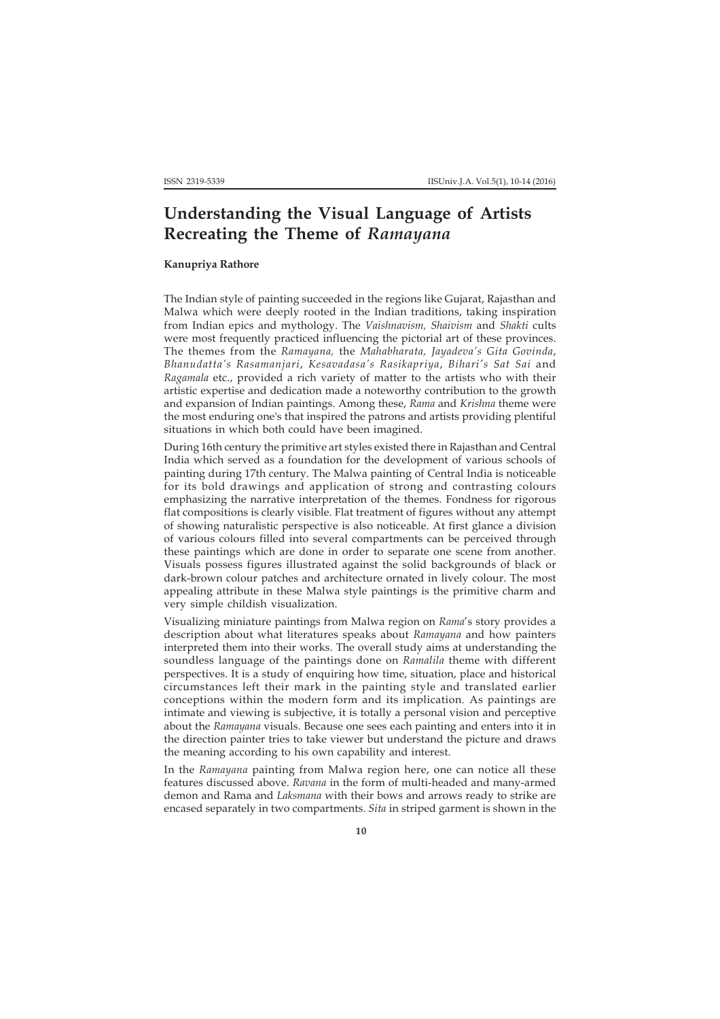## **Understanding the Visual Language of Artists Recreating the Theme of** *Ramayana*

## **Kanupriya Rathore**

The Indian style of painting succeeded in the regions like Gujarat, Rajasthan and Malwa which were deeply rooted in the Indian traditions, taking inspiration from Indian epics and mythology. The *Vaishnavism, Shaivism* and *Shakti* cults were most frequently practiced influencing the pictorial art of these provinces. The themes from the *Ramayana,* the *Mahabharata, Jayadeva's Gita Govinda*, *Bhanudatta's Rasamanjari*, *Kesavadasa's Rasikapriya*, *Bihari's Sat Sai* and *Ragamala* etc., provided a rich variety of matter to the artists who with their artistic expertise and dedication made a noteworthy contribution to the growth and expansion of Indian paintings. Among these, *Rama* and *Krishna* theme were the most enduring one's that inspired the patrons and artists providing plentiful situations in which both could have been imagined.

During 16th century the primitive art styles existed there in Rajasthan and Central India which served as a foundation for the development of various schools of painting during 17th century. The Malwa painting of Central India is noticeable for its bold drawings and application of strong and contrasting colours emphasizing the narrative interpretation of the themes. Fondness for rigorous flat compositions is clearly visible. Flat treatment of figures without any attempt of showing naturalistic perspective is also noticeable. At first glance a division of various colours filled into several compartments can be perceived through these paintings which are done in order to separate one scene from another. Visuals possess figures illustrated against the solid backgrounds of black or dark-brown colour patches and architecture ornated in lively colour. The most appealing attribute in these Malwa style paintings is the primitive charm and very simple childish visualization.

Visualizing miniature paintings from Malwa region on *Rama*'s story provides a description about what literatures speaks about *Ramayana* and how painters interpreted them into their works. The overall study aims at understanding the soundless language of the paintings done on *Ramalila* theme with different perspectives. It is a study of enquiring how time, situation, place and historical circumstances left their mark in the painting style and translated earlier conceptions within the modern form and its implication. As paintings are intimate and viewing is subjective, it is totally a personal vision and perceptive about the *Ramayana* visuals. Because one sees each painting and enters into it in the direction painter tries to take viewer but understand the picture and draws the meaning according to his own capability and interest.

In the *Ramayana* painting from Malwa region here, one can notice all these features discussed above. *Ravana* in the form of multi-headed and many-armed demon and Rama and *Laksmana* with their bows and arrows ready to strike are encased separately in two compartments. *Sita* in striped garment is shown in the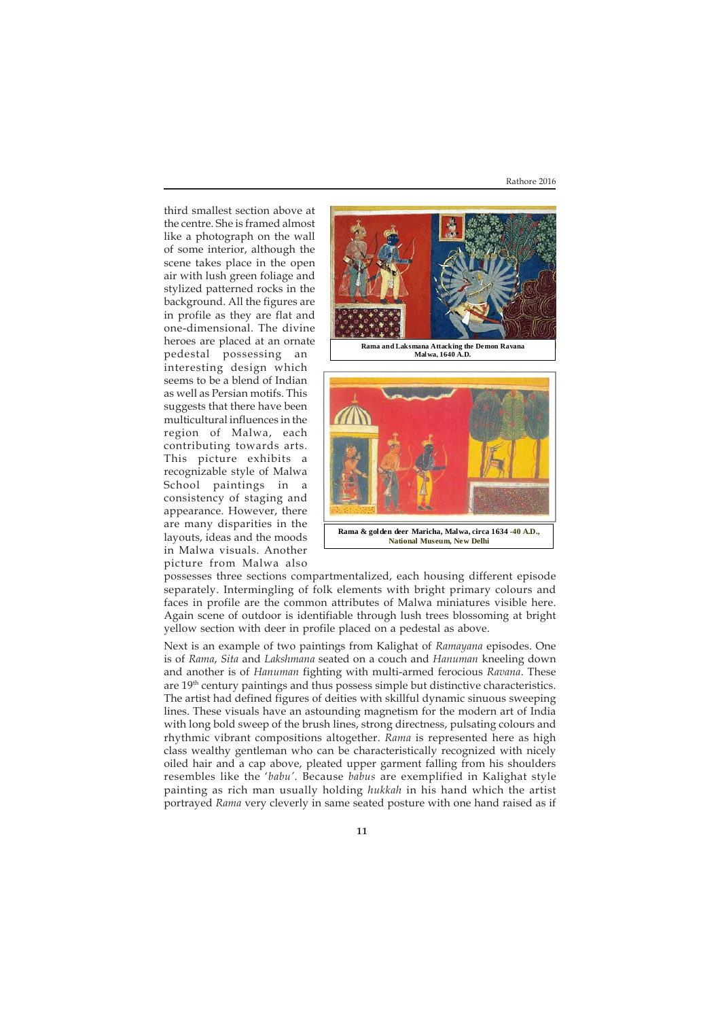Rathore 2016

third smallest section above at the centre. She is framed almost like a photograph on the wall of some interior, although the scene takes place in the open air with lush green foliage and stylized patterned rocks in the background. All the figures are in profile as they are flat and one-dimensional. The divine heroes are placed at an ornate pedestal possessing an interesting design which seems to be a blend of Indian as well as Persian motifs. This suggests that there have been multicultural influences in the region of Malwa, each contributing towards arts. This picture exhibits a recognizable style of Malwa School paintings in a consistency of staging and appearance. However, there are many disparities in the layouts, ideas and the moods in Malwa visuals. Another picture from Malwa also



**Rama & golden deer Maricha, Malwa, circa 1634 -40 A.D., National Museum, New Delhi**

possesses three sections compartmentalized, each housing different episode separately. Intermingling of folk elements with bright primary colours and faces in profile are the common attributes of Malwa miniatures visible here. Again scene of outdoor is identifiable through lush trees blossoming at bright yellow section with deer in profile placed on a pedestal as above.

Next is an example of two paintings from Kalighat of *Ramayana* episodes. One is of *Rama*, *Sita* and *Lakshmana* seated on a couch and *Hanuman* kneeling down and another is of *Hanuman* fighting with multi-armed ferocious *Ravana*. These are 19th century paintings and thus possess simple but distinctive characteristics. The artist had defined figures of deities with skillful dynamic sinuous sweeping lines. These visuals have an astounding magnetism for the modern art of India with long bold sweep of the brush lines, strong directness, pulsating colours and rhythmic vibrant compositions altogether. *Rama* is represented here as high class wealthy gentleman who can be characteristically recognized with nicely oiled hair and a cap above, pleated upper garment falling from his shoulders resembles like the '*babu'*. Because *babus* are exemplified in Kalighat style painting as rich man usually holding *hukkah* in his hand which the artist portrayed *Rama* very cleverly in same seated posture with one hand raised as if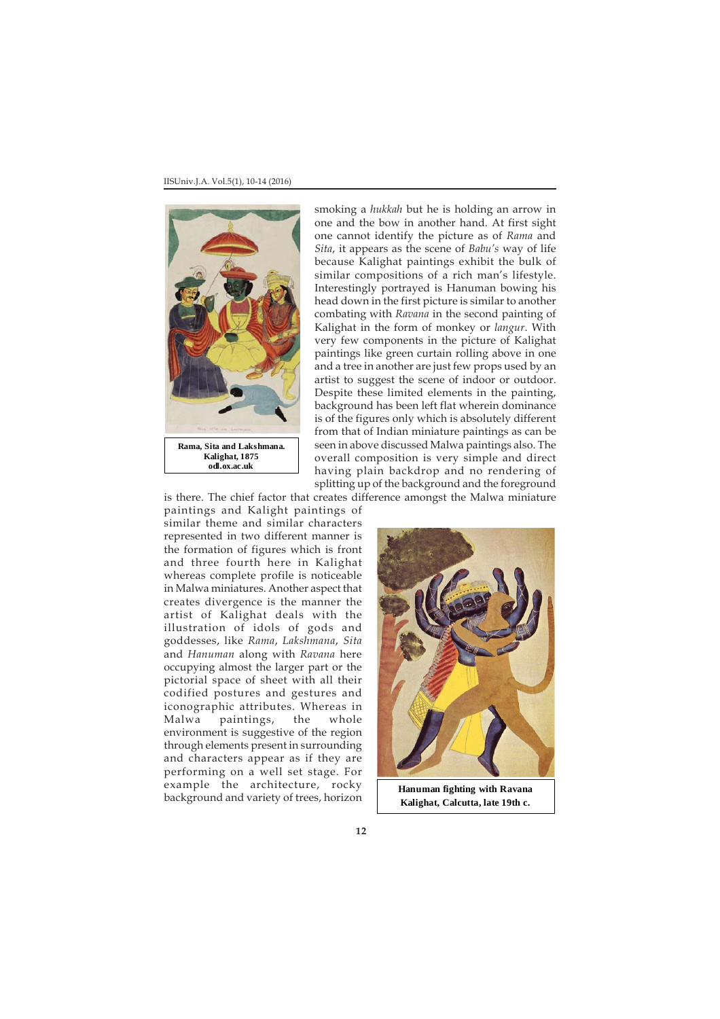

smoking a *hukkah* but he is holding an arrow in one and the bow in another hand. At first sight one cannot identify the picture as of *Rama* and *Sita*, it appears as the scene of *Babu's* way of life because Kalighat paintings exhibit the bulk of similar compositions of a rich man's lifestyle. Interestingly portrayed is Hanuman bowing his head down in the first picture is similar to another combating with *Ravana* in the second painting of Kalighat in the form of monkey or *langur*. With very few components in the picture of Kalighat paintings like green curtain rolling above in one and a tree in another are just few props used by an artist to suggest the scene of indoor or outdoor. Despite these limited elements in the painting, background has been left flat wherein dominance is of the figures only which is absolutely different from that of Indian miniature paintings as can be seen in above discussed Malwa paintings also. The overall composition is very simple and direct having plain backdrop and no rendering of splitting up of the background and the foreground

is there. The chief factor that creates difference amongst the Malwa miniature

paintings and Kalight paintings of similar theme and similar characters represented in two different manner is the formation of figures which is front and three fourth here in Kalighat whereas complete profile is noticeable in Malwa miniatures. Another aspect that creates divergence is the manner the artist of Kalighat deals with the illustration of idols of gods and goddesses, like *Rama*, *Lakshmana*, *Sita* and *Hanuman* along with *Ravana* here occupying almost the larger part or the pictorial space of sheet with all their codified postures and gestures and iconographic attributes. Whereas in Malwa paintings, the whole environment is suggestive of the region through elements present in surrounding and characters appear as if they are performing on a well set stage. For example the architecture, rocky background and variety of trees, horizon



**Hanuman fighting with Ravana Kalighat, Calcutta, late 19th c.**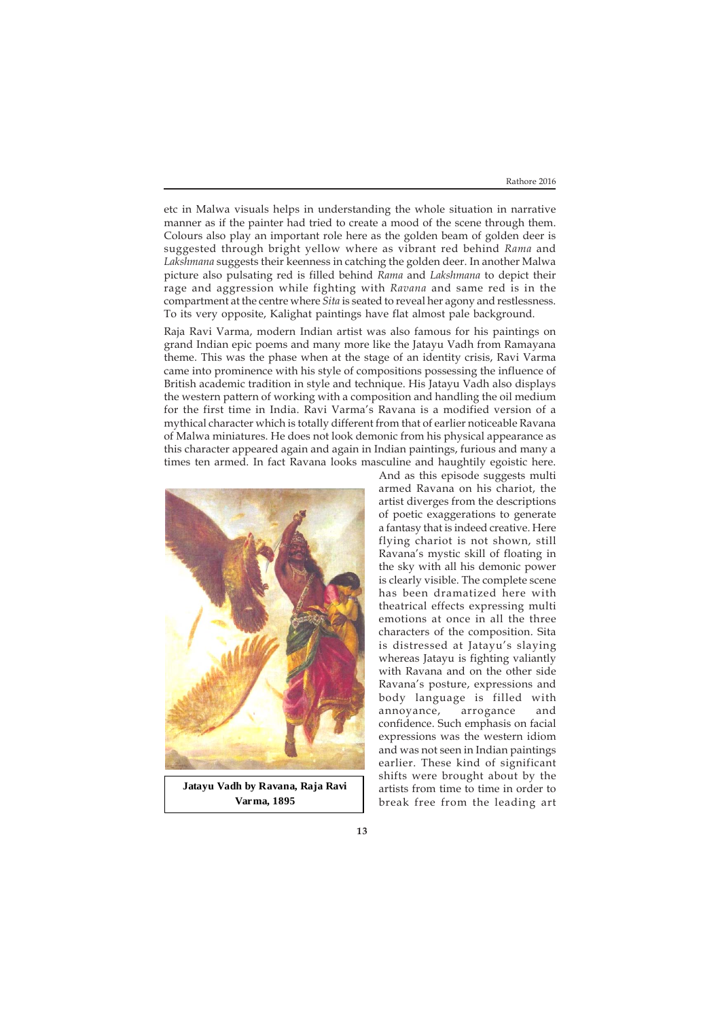etc in Malwa visuals helps in understanding the whole situation in narrative manner as if the painter had tried to create a mood of the scene through them. Colours also play an important role here as the golden beam of golden deer is suggested through bright yellow where as vibrant red behind *Rama* and *Lakshmana* suggests their keenness in catching the golden deer. In another Malwa picture also pulsating red is filled behind *Rama* and *Lakshmana* to depict their rage and aggression while fighting with *Ravana* and same red is in the compartment at the centre where *Sita* is seated to reveal her agony and restlessness. To its very opposite, Kalighat paintings have flat almost pale background.

Raja Ravi Varma, modern Indian artist was also famous for his paintings on grand Indian epic poems and many more like the Jatayu Vadh from Ramayana theme. This was the phase when at the stage of an identity crisis, Ravi Varma came into prominence with his style of compositions possessing the influence of British academic tradition in style and technique. His Jatayu Vadh also displays the western pattern of working with a composition and handling the oil medium for the first time in India. Ravi Varma's Ravana is a modified version of a mythical character which is totally different from that of earlier noticeable Ravana of Malwa miniatures. He does not look demonic from his physical appearance as this character appeared again and again in Indian paintings, furious and many a times ten armed. In fact Ravana looks masculine and haughtily egoistic here.



**Jatayu Vadh by Ravana, Raja Ravi Varma, 1895** 

And as this episode suggests multi armed Ravana on his chariot, the artist diverges from the descriptions of poetic exaggerations to generate a fantasy that is indeed creative. Here flying chariot is not shown, still Ravana's mystic skill of floating in the sky with all his demonic power is clearly visible. The complete scene has been dramatized here with theatrical effects expressing multi emotions at once in all the three characters of the composition. Sita is distressed at Jatayu's slaying whereas Jatayu is fighting valiantly with Ravana and on the other side Ravana's posture, expressions and body language is filled with annoyance, arrogance and confidence. Such emphasis on facial expressions was the western idiom and was not seen in Indian paintings earlier. These kind of significant shifts were brought about by the artists from time to time in order to break free from the leading art